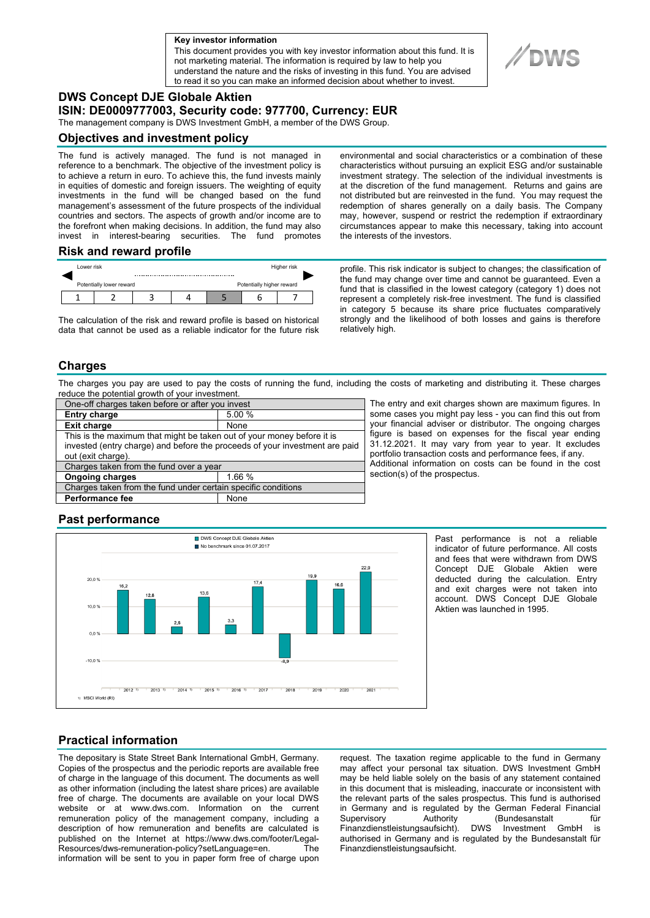**a Key investor information**

This document provides you with key investor information about this fund. It is not marketing material. The information is required by law to help you understand the nature and the risks of investing in this fund. You are advised to read it so you can make an informed decision about whether to invest.

# **DWS Concept DJE Globale Aktien**

**ISIN: DE0009777003, Security code: 977700, Currency: EUR** 

The management company is DWS Investment GmbH, a member of the DWS Group.

### **Objectives and investment policy**

The fund is actively managed. The fund is not managed in reference to a benchmark. The objective of the investment policy is to achieve a return in euro. To achieve this, the fund invests mainly in equities of domestic and foreign issuers. The weighting of equity investments in the fund will be changed based on the fund management's assessment of the future prospects of the individual countries and sectors. The aspects of growth and/or income are to the forefront when making decisions. In addition, the fund may also invest in interest-bearing securities. The fund promotes

### **Risk and reward profile**



The calculation of the risk and reward profile is based on historical data that cannot be used as a reliable indicator for the future risk environmental and social characteristics or a combination of these characteristics without pursuing an explicit ESG and/or sustainable investment strategy. The selection of the individual investments is at the discretion of the fund management. Returns and gains are not distributed but are reinvested in the fund. You may request the redemption of shares generally on a daily basis. The Company may, however, suspend or restrict the redemption if extraordinary circumstances appear to make this necessary, taking into account the interests of the investors.

profile. This risk indicator is subject to changes; the classification of the fund may change over time and cannot be guaranteed. Even a fund that is classified in the lowest category (category 1) does not represent a completely risk-free investment. The fund is classified in category 5 because its share price fluctuates comparatively strongly and the likelihood of both losses and gains is therefore relatively high.

### **Charges**

The charges you pay are used to pay the costs of running the fund, including the costs of marketing and distributing it. These charges reduce the potential growth of your investment.

| One-off charges taken before or after you invest                            |        |
|-----------------------------------------------------------------------------|--------|
| <b>Entry charge</b>                                                         | 5.00 % |
| <b>Exit charge</b>                                                          | None   |
| This is the maximum that might be taken out of your money before it is      |        |
| invested (entry charge) and before the proceeds of your investment are paid |        |
| out (exit charge).                                                          |        |
| Charges taken from the fund over a year                                     |        |
| <b>Ongoing charges</b>                                                      | 1.66 % |
| Charges taken from the fund under certain specific conditions               |        |
| <b>Performance fee</b>                                                      | None   |

The entry and exit charges shown are maximum figures. In some cases you might pay less - you can find this out from your financial adviser or distributor. The ongoing charges figure is based on expenses for the fiscal year ending 31.12.2021. It may vary from year to year. It excludes portfolio transaction costs and performance fees, if any. Additional information on costs can be found in the cost section(s) of the prospectus.

## **Past performance**



Past performance is not a reliable indicator of future performance. All costs and fees that were withdrawn from DWS Concept DJE Globale Aktien were deducted during the calculation. Entry and exit charges were not taken into account. DWS Concept DJE Globale Aktien was launched in 1995.

# **Practical information**

The depositary is State Street Bank International GmbH, Germany. Copies of the prospectus and the periodic reports are available free of charge in the language of this document. The documents as well as other information (including the latest share prices) are available free of charge. The documents are available on your local DWS website or at www.dws.com. Information on the current remuneration policy of the management company, including a description of how remuneration and benefits are calculated is published on the Internet at https://www.dws.com/footer/Legal-Resources/dws-remuneration-policy?setLanguage=en. The information will be sent to you in paper form free of charge upon

request. The taxation regime applicable to the fund in Germany may affect your personal tax situation. DWS Investment GmbH may be held liable solely on the basis of any statement contained in this document that is misleading, inaccurate or inconsistent with the relevant parts of the sales prospectus. This fund is authorised in Germany and is regulated by the German Federal Financial Supervisory Authority (Bundesanstalt für<br>Finanzdienstleistungsaufsicht). DWS Investment GmbH is Finanzdienstleistungsaufsicht). DWS Investment GmbH is authorised in Germany and is regulated by the Bundesanstalt für Finanzdienstleistungsaufsicht.